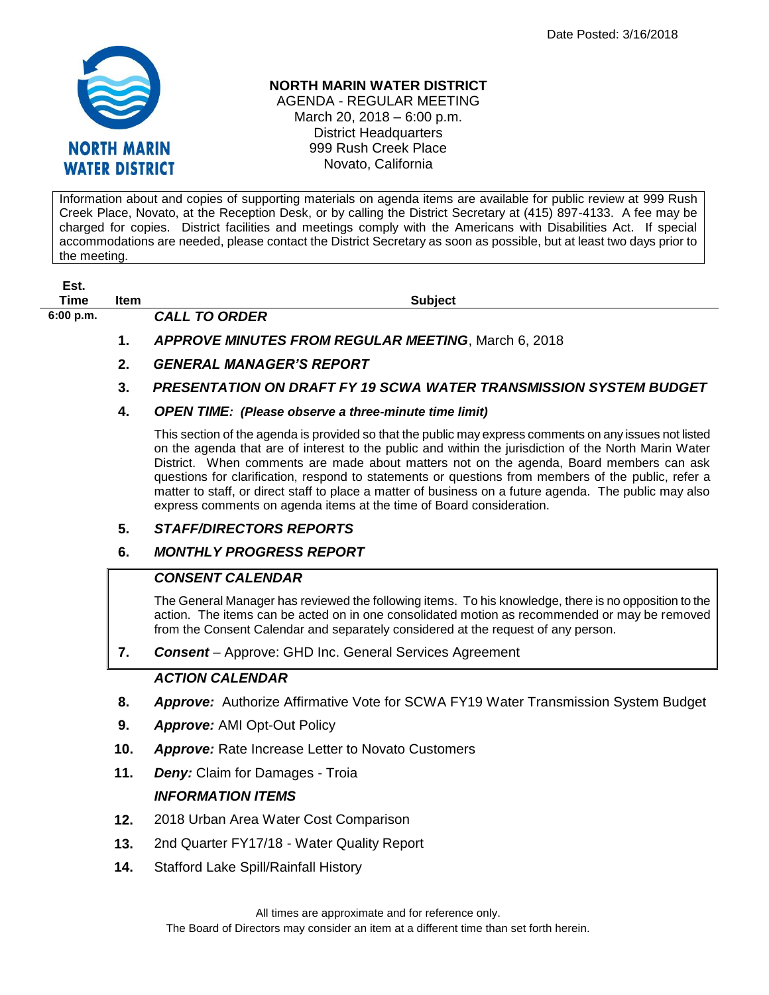

#### **NORTH MARIN WATER DISTRICT**

AGENDA - REGULAR MEETING March 20, 2018 – 6:00 p.m. District Headquarters 999 Rush Creek Place Novato, California

Information about and copies of supporting materials on agenda items are available for public review at 999 Rush Creek Place, Novato, at the Reception Desk, or by calling the District Secretary at (415) 897-4133. A fee may be charged for copies. District facilities and meetings comply with the Americans with Disabilities Act. If special accommodations are needed, please contact the District Secretary as soon as possible, but at least two days prior to the meeting.

**Est.**

**6:00 p.m.** *CALL TO ORDER* 

**Time Item Subject**

- **1.** *APPROVE MINUTES FROM REGULAR MEETING*, March 6, 2018
- **2.** *GENERAL MANAGER'S REPORT*
- **3.** *PRESENTATION ON DRAFT FY 19 SCWA WATER TRANSMISSION SYSTEM BUDGET*
- **4.** *OPEN TIME: (Please observe a three-minute time limit)*

This section of the agenda is provided so that the public may express comments on any issues not listed on the agenda that are of interest to the public and within the jurisdiction of the North Marin Water District. When comments are made about matters not on the agenda, Board members can ask questions for clarification, respond to statements or questions from members of the public, refer a matter to staff, or direct staff to place a matter of business on a future agenda. The public may also express comments on agenda items at the time of Board consideration.

### **5.** *STAFF/DIRECTORS REPORTS*

### **6.** *MONTHLY PROGRESS REPORT*

### *CONSENT CALENDAR*

The General Manager has reviewed the following items. To his knowledge, there is no opposition to the action. The items can be acted on in one consolidated motion as recommended or may be removed from the Consent Calendar and separately considered at the request of any person.

**7.** *Consent* – Approve: GHD Inc. General Services Agreement

# *ACTION CALENDAR*

- **8.** *Approve:* Authorize Affirmative Vote for SCWA FY19 Water Transmission System Budget
- **9.** *Approve:* AMI Opt-Out Policy
- **10.** *Approve:* Rate Increase Letter to Novato Customers
- **11.** *Deny:* Claim for Damages Troia

# *INFORMATION ITEMS*

- **12.** 2018 Urban Area Water Cost Comparison
- **13.** 2nd Quarter FY17/18 Water Quality Report
- **14.** Stafford Lake Spill/Rainfall History